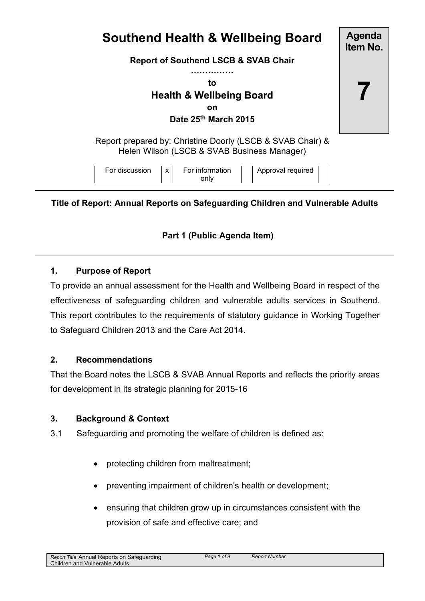# **Southend Health & Wellbeing Board**

**Report of Southend LSCB & SVAB Chair**

**……………**

**to**

# **Health & Wellbeing Board on Date 25th March 2015**

Report prepared by: Christine Doorly (LSCB & SVAB Chair) & Helen Wilson (LSCB & SVAB Business Manager)

| For discussion |  | For information<br>only |  | Approval required |  |
|----------------|--|-------------------------|--|-------------------|--|
|----------------|--|-------------------------|--|-------------------|--|

**Title of Report: Annual Reports on Safeguarding Children and Vulnerable Adults**

## **Part 1 (Public Agenda Item)**

#### **1. Purpose of Report**

To provide an annual assessment for the Health and Wellbeing Board in respect of the effectiveness of safeguarding children and vulnerable adults services in Southend. This report contributes to the requirements of statutory guidance in Working Together to Safeguard Children 2013 and the Care Act 2014.

#### **2. Recommendations**

That the Board notes the LSCB & SVAB Annual Reports and reflects the priority areas for development in its strategic planning for 2015-16

#### **3. Background & Context**

- 3.1 Safeguarding and promoting the welfare of children is defined as:
	- protecting children from maltreatment;
	- preventing impairment of children's health or development;
	- ensuring that children grow up in circumstances consistent with the provision of safe and effective care; and

**Agenda Item No.**

**7**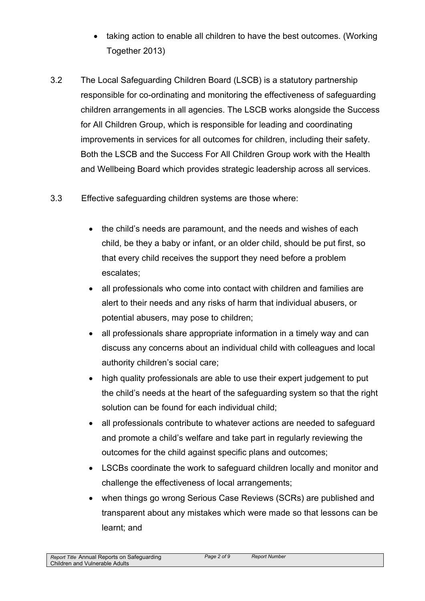- taking action to enable all children to have the best outcomes. (Working Together 2013)
- 3.2 The Local Safeguarding Children Board (LSCB) is a statutory partnership responsible for co-ordinating and monitoring the effectiveness of safeguarding children arrangements in all agencies. The LSCB works alongside the Success for All Children Group, which is responsible for leading and coordinating improvements in services for all outcomes for children, including their safety. Both the LSCB and the Success For All Children Group work with the Health and Wellbeing Board which provides strategic leadership across all services.
- 3.3 Effective safeguarding children systems are those where:
	- the child's needs are paramount, and the needs and wishes of each child, be they a baby or infant, or an older child, should be put first, so that every child receives the support they need before a problem escalates;
	- all professionals who come into contact with children and families are alert to their needs and any risks of harm that individual abusers, or potential abusers, may pose to children;
	- all professionals share appropriate information in a timely way and can discuss any concerns about an individual child with colleagues and local authority children's social care;
	- high quality professionals are able to use their expert judgement to put the child's needs at the heart of the safeguarding system so that the right solution can be found for each individual child;
	- all professionals contribute to whatever actions are needed to safeguard and promote a child's welfare and take part in regularly reviewing the outcomes for the child against specific plans and outcomes;
	- LSCBs coordinate the work to safeguard children locally and monitor and challenge the effectiveness of local arrangements;
	- when things go wrong Serious Case Reviews (SCRs) are published and transparent about any mistakes which were made so that lessons can be learnt; and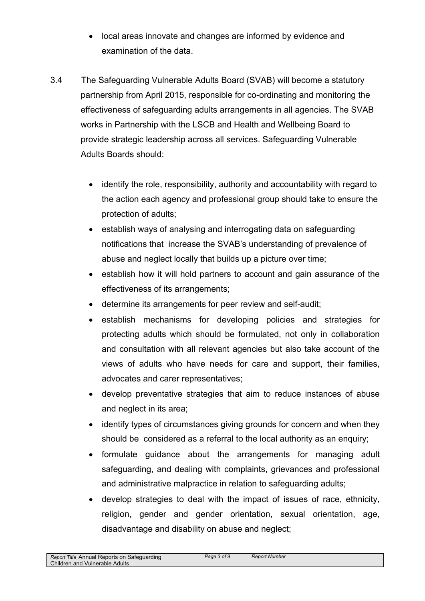- local areas innovate and changes are informed by evidence and examination of the data.
- 3.4 The Safeguarding Vulnerable Adults Board (SVAB) will become a statutory partnership from April 2015, responsible for co-ordinating and monitoring the effectiveness of safeguarding adults arrangements in all agencies. The SVAB works in Partnership with the LSCB and Health and Wellbeing Board to provide strategic leadership across all services. Safeguarding Vulnerable Adults Boards should:
	- identify the role, responsibility, authority and accountability with regard to the action each agency and professional group should take to ensure the protection of adults;
	- establish ways of analysing and interrogating data on safeguarding notifications that increase the SVAB's understanding of prevalence of abuse and neglect locally that builds up a picture over time;
	- establish how it will hold partners to account and gain assurance of the effectiveness of its arrangements;
	- determine its arrangements for peer review and self-audit;
	- establish mechanisms for developing policies and strategies for protecting adults which should be formulated, not only in collaboration and consultation with all relevant agencies but also take account of the views of adults who have needs for care and support, their families, advocates and carer representatives;
	- develop preventative strategies that aim to reduce instances of abuse and neglect in its area;
	- identify types of circumstances giving grounds for concern and when they should be considered as a referral to the local authority as an enquiry;
	- formulate guidance about the arrangements for managing adult safeguarding, and dealing with complaints, grievances and professional and administrative malpractice in relation to safeguarding adults;
	- develop strategies to deal with the impact of issues of race, ethnicity, religion, gender and gender orientation, sexual orientation, age, disadvantage and disability on abuse and neglect;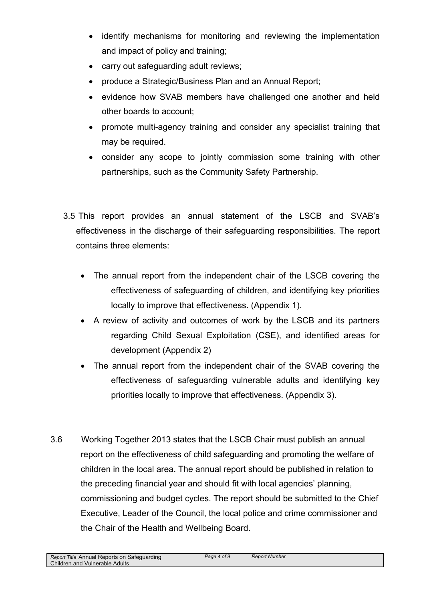- identify mechanisms for monitoring and reviewing the implementation and impact of policy and training;
- carry out safeguarding adult reviews;
- produce a Strategic/Business Plan and an Annual Report;
- evidence how SVAB members have challenged one another and held other boards to account;
- promote multi-agency training and consider any specialist training that may be required.
- consider any scope to jointly commission some training with other partnerships, such as the Community Safety Partnership.
- 3.5 This report provides an annual statement of the LSCB and SVAB's effectiveness in the discharge of their safeguarding responsibilities. The report contains three elements:
	- The annual report from the independent chair of the LSCB covering the effectiveness of safeguarding of children, and identifying key priorities locally to improve that effectiveness. (Appendix 1).
	- A review of activity and outcomes of work by the LSCB and its partners regarding Child Sexual Exploitation (CSE), and identified areas for development (Appendix 2)
	- The annual report from the independent chair of the SVAB covering the effectiveness of safeguarding vulnerable adults and identifying key priorities locally to improve that effectiveness. (Appendix 3).
- 3.6 Working Together 2013 states that the LSCB Chair must publish an annual report on the effectiveness of child safeguarding and promoting the welfare of children in the local area. The annual report should be published in relation to the preceding financial year and should fit with local agencies' planning, commissioning and budget cycles. The report should be submitted to the Chief Executive, Leader of the Council, the local police and crime commissioner and the Chair of the Health and Wellbeing Board.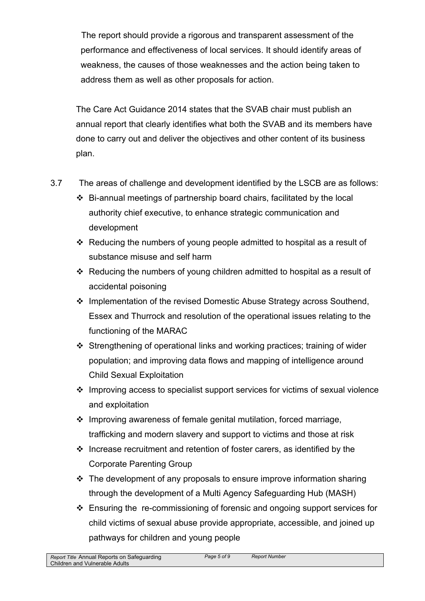The report should provide a rigorous and transparent assessment of the performance and effectiveness of local services. It should identify areas of weakness, the causes of those weaknesses and the action being taken to address them as well as other proposals for action.

The Care Act Guidance 2014 states that the SVAB chair must publish an annual report that clearly identifies what both the SVAB and its members have done to carry out and deliver the objectives and other content of its business plan.

- 3.7 The areas of challenge and development identified by the LSCB are as follows:
	- $\div$  Bi-annual meetings of partnership board chairs, facilitated by the local authority chief executive, to enhance strategic communication and development
	- Reducing the numbers of young people admitted to hospital as a result of substance misuse and self harm
	- \* Reducing the numbers of young children admitted to hospital as a result of accidental poisoning
	- $\cdot$  Implementation of the revised Domestic Abuse Strategy across Southend, Essex and Thurrock and resolution of the operational issues relating to the functioning of the MARAC
	- Strengthening of operational links and working practices; training of wider population; and improving data flows and mapping of intelligence around Child Sexual Exploitation
	- Improving access to specialist support services for victims of sexual violence and exploitation
	- $\cdot$  Improving awareness of female genital mutilation, forced marriage, trafficking and modern slavery and support to victims and those at risk
	- $\cdot$  Increase recruitment and retention of foster carers, as identified by the Corporate Parenting Group
	- $\cdot$  The development of any proposals to ensure improve information sharing through the development of a Multi Agency Safeguarding Hub (MASH)
	- Ensuring the re-commissioning of forensic and ongoing support services for child victims of sexual abuse provide appropriate, accessible, and joined up pathways for children and young people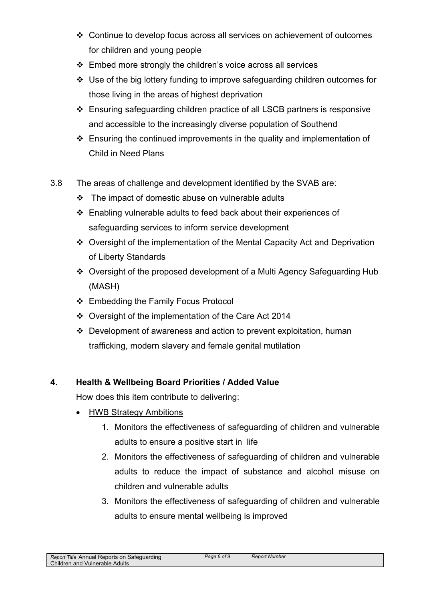- Continue to develop focus across all services on achievement of outcomes for children and young people
- ❖ Embed more strongly the children's voice across all services
- Use of the big lottery funding to improve safeguarding children outcomes for those living in the areas of highest deprivation
- Ensuring safeguarding children practice of all LSCB partners is responsive and accessible to the increasingly diverse population of Southend
- $\div$  Ensuring the continued improvements in the quality and implementation of Child in Need Plans
- 3.8 The areas of challenge and development identified by the SVAB are:
	- $\div$  The impact of domestic abuse on vulnerable adults
	- Enabling vulnerable adults to feed back about their experiences of safeguarding services to inform service development
	- Oversight of the implementation of the Mental Capacity Act and Deprivation of Liberty Standards
	- Oversight of the proposed development of a Multi Agency Safeguarding Hub (MASH)
	- ❖ Embedding the Family Focus Protocol
	- Oversight of the implementation of the Care Act 2014
	- Development of awareness and action to prevent exploitation, human trafficking, modern slavery and female genital mutilation

# **4. Health & Wellbeing Board Priorities / Added Value**

How does this item contribute to delivering:

- HWB Strategy Ambitions
	- 1. Monitors the effectiveness of safeguarding of children and vulnerable adults to ensure a positive start in life
	- 2. Monitors the effectiveness of safeguarding of children and vulnerable adults to reduce the impact of substance and alcohol misuse on children and vulnerable adults
	- 3. Monitors the effectiveness of safeguarding of children and vulnerable adults to ensure mental wellbeing is improved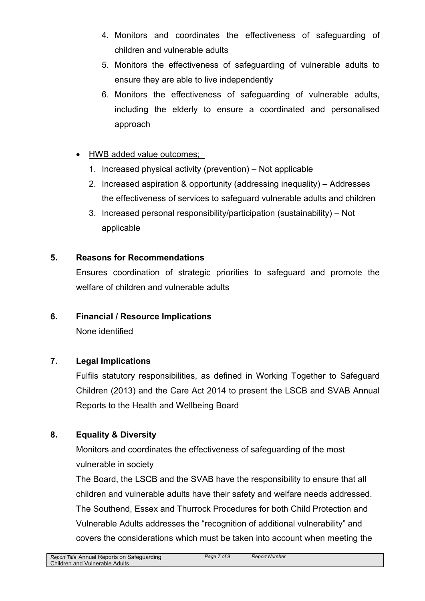- 4. Monitors and coordinates the effectiveness of safeguarding of children and vulnerable adults
- 5. Monitors the effectiveness of safeguarding of vulnerable adults to ensure they are able to live independently
- 6. Monitors the effectiveness of safeguarding of vulnerable adults, including the elderly to ensure a coordinated and personalised approach
- HWB added value outcomes;
	- 1. Increased physical activity (prevention) Not applicable
	- 2. Increased aspiration & opportunity (addressing inequality) Addresses the effectiveness of services to safeguard vulnerable adults and children
	- 3. Increased personal responsibility/participation (sustainability) Not applicable

## **5. Reasons for Recommendations**

Ensures coordination of strategic priorities to safeguard and promote the welfare of children and vulnerable adults

## **6. Financial / Resource Implications**

None identified

## **7. Legal Implications**

Fulfils statutory responsibilities, as defined in Working Together to Safeguard Children (2013) and the Care Act 2014 to present the LSCB and SVAB Annual Reports to the Health and Wellbeing Board

## **8. Equality & Diversity**

Monitors and coordinates the effectiveness of safeguarding of the most vulnerable in society

The Board, the LSCB and the SVAB have the responsibility to ensure that all children and vulnerable adults have their safety and welfare needs addressed. The Southend, Essex and Thurrock Procedures for both Child Protection and Vulnerable Adults addresses the "recognition of additional vulnerability" and covers the considerations which must be taken into account when meeting the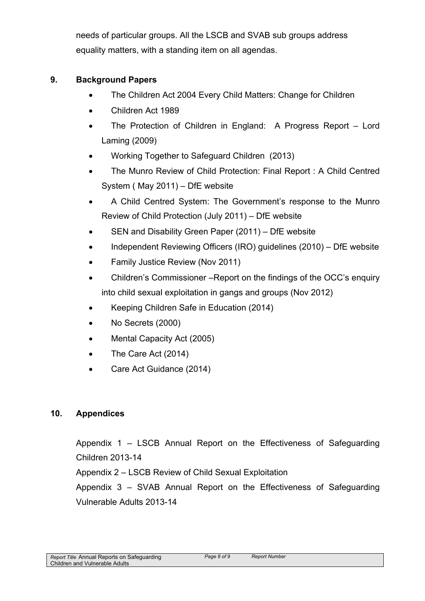needs of particular groups. All the LSCB and SVAB sub groups address equality matters, with a standing item on all agendas.

## **9. Background Papers**

- The Children Act 2004 Every Child Matters: Change for Children
- Children Act 1989
- The Protection of Children in England: A Progress Report Lord Laming (2009)
- Working Together to Safeguard Children (2013)
- The Munro Review of Child Protection: Final Report : A Child Centred System ( May 2011) – DfE website
- A Child Centred System: The Government's response to the Munro Review of Child Protection (July 2011) – DfE website
- SEN and Disability Green Paper (2011) DfE website
- Independent Reviewing Officers (IRO) quidelines (2010) DfE website
- Family Justice Review (Nov 2011)
- Children's Commissioner –Report on the findings of the OCC's enquiry into child sexual exploitation in gangs and groups (Nov 2012)
- Keeping Children Safe in Education (2014)
- No Secrets (2000)
- Mental Capacity Act (2005)
- The Care Act (2014)
- Care Act Guidance (2014)

## **10. Appendices**

Appendix 1 – LSCB Annual Report on the Effectiveness of Safeguarding Children 2013-14

Appendix 2 – LSCB Review of Child Sexual Exploitation

Appendix 3 – SVAB Annual Report on the Effectiveness of Safeguarding Vulnerable Adults 2013-14